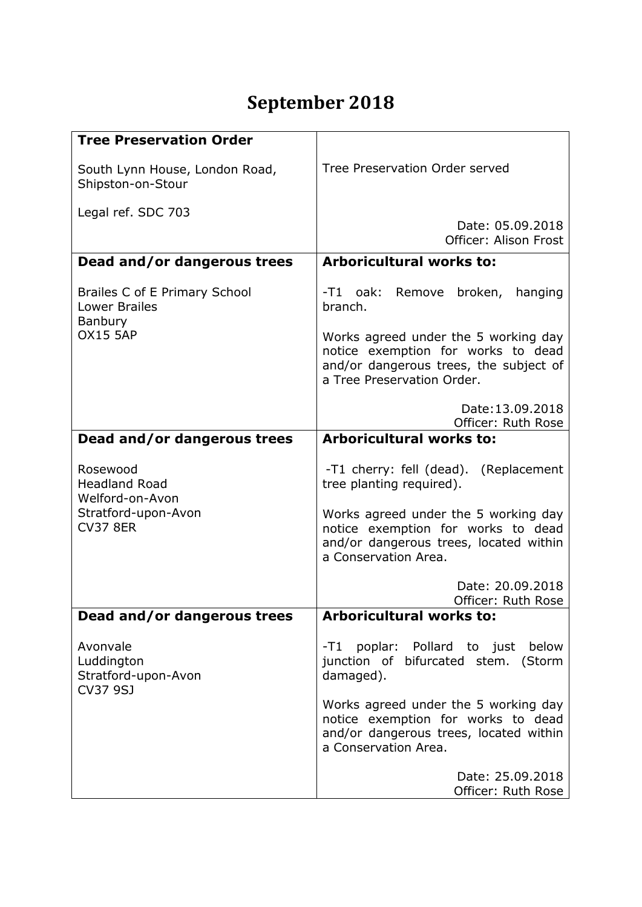## **September 2018**

| <b>Tree Preservation Order</b>                                                                |                                                                                                                                                    |
|-----------------------------------------------------------------------------------------------|----------------------------------------------------------------------------------------------------------------------------------------------------|
| South Lynn House, London Road,<br>Shipston-on-Stour                                           | Tree Preservation Order served                                                                                                                     |
| Legal ref. SDC 703                                                                            | Date: 05.09.2018<br>Officer: Alison Frost                                                                                                          |
| Dead and/or dangerous trees                                                                   | <b>Arboricultural works to:</b>                                                                                                                    |
| Brailes C of E Primary School<br><b>Lower Brailes</b><br>Banbury<br><b>OX15 5AP</b>           | -T1 oak: Remove broken,<br>hanging<br>branch.                                                                                                      |
|                                                                                               | Works agreed under the 5 working day<br>notice exemption for works to dead<br>and/or dangerous trees, the subject of<br>a Tree Preservation Order. |
|                                                                                               | Date: 13.09.2018<br>Officer: Ruth Rose                                                                                                             |
| Dead and/or dangerous trees                                                                   | <b>Arboricultural works to:</b>                                                                                                                    |
| Rosewood<br><b>Headland Road</b><br>Welford-on-Avon<br>Stratford-upon-Avon<br><b>CV37 8ER</b> | -T1 cherry: fell (dead). (Replacement<br>tree planting required).                                                                                  |
|                                                                                               | Works agreed under the 5 working day<br>notice exemption for works to dead<br>and/or dangerous trees, located within<br>a Conservation Area.       |
|                                                                                               | Date: 20.09.2018<br>Officer: Ruth Rose                                                                                                             |
| Dead and/or dangerous trees                                                                   | <b>Arboricultural works to:</b>                                                                                                                    |
| Avonvale<br>Luddington<br>Stratford-upon-Avon<br>CV37 9SJ                                     | -T1 poplar: Pollard to just below<br>junction of bifurcated stem. (Storm<br>damaged).                                                              |
|                                                                                               | Works agreed under the 5 working day<br>notice exemption for works to dead<br>and/or dangerous trees, located within<br>a Conservation Area.       |
|                                                                                               | Date: 25.09.2018<br>Officer: Ruth Rose                                                                                                             |